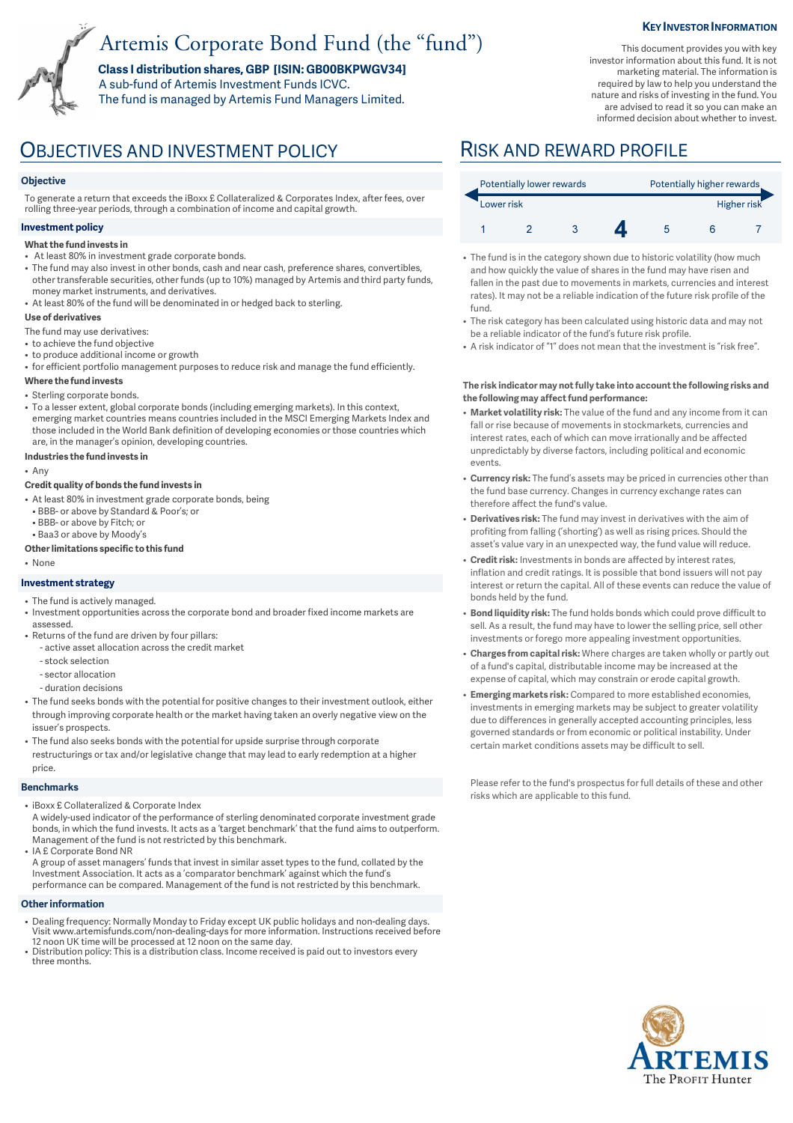# Artemis Corporate Bond Fund (the "fund")

**Class I distribution shares, GBP [ISIN: GB00BKPWGV34]**  A sub-fund of Artemis Investment Funds ICVC. The fund is managed by Artemis Fund Managers Limited.

### **KEY INVESTOR INFORMATION**

This document provides you with key investor information about this fund. It is not marketing material. The information is required by law to help you understand the nature and risks of investing in the fund. You are advised to read it so you can make an informed decision about whether to invest.

## OBJECTIVES AND INVESTMENT POLICY RISK AND REWARD PROFILE

#### **Objective**

To generate a return that exceeds the iBoxx £ Collateralized & Corporates Index, after fees, over rolling three-year periods, through a combination of income and capital growth.

## **Investment policy**

- **What the fund invests in**
- At least 80% in investment grade corporate bonds.
- The fund may also invest in other bonds, cash and near cash, preference shares, convertibles, other transferable securities, other funds (up to 10%) managed by Artemis and third party funds, money market instruments, and derivatives.
- At least 80% of the fund will be denominated in or hedged back to sterling.

#### **Use of derivatives**

- The fund may use derivatives:
- to achieve the fund objective
- to produce additional income or growth
- for efficient portfolio management purposes to reduce risk and manage the fund efficiently.

#### **Where the fund invests**

- Sterling corporate bonds.
- To a lesser extent, global corporate bonds (including emerging markets). In this context, emerging market countries means countries included in the MSCI Emerging Markets Index and those included in the World Bank definition of developing economies or those countries which are, in the manager's opinion, developing countries.

#### **Industries the fund invests in**

• Any

#### **Credit quality of bonds the fund invests in**

- At least 80% in investment grade corporate bonds, being
	- BBB- or above by Standard & Poor's; or
- BBB- or above by Fitch; or
- Baa3 or above by Moody's

### **Other limitations specific to this fund**

• None

### **Investment strategy**

- The fund is actively managed.
- Investment opportunities across the corporate bond and broader fixed income markets are assessed.
- Returns of the fund are driven by four pillars:
	- active asset allocation across the credit market
	- stock selection
	- sector allocation
	- duration decisions
- The fund seeks bonds with the potential for positive changes to their investment outlook, either through improving corporate health or the market having taken an overly negative view on the issuer's prospects.
- The fund also seeks bonds with the potential for upside surprise through corporate restructurings or tax and/or legislative change that may lead to early redemption at a higher price.

#### **Benchmarks**

- iBoxx £ Collateralized & Corporate Index
- A widely-used indicator of the performance of sterling denominated corporate investment grade bonds, in which the fund invests. It acts as a 'target benchmark' that the fund aims to outperform. Management of the fund is not restricted by this benchmark.
- IA £ Corporate Bond NR A group of asset managers' funds that invest in similar asset types to the fund, collated by the Investment Association. It acts as a 'comparator benchmark' against which the fund's performance can be compared. Management of the fund is not restricted by this benchmark.

#### **Other information**

- Dealing frequency: Normally Monday to Friday except UK public holidays and non-dealing days. Visit www.artemisfunds.com/non-dealing-days for more information. Instructions received before 12 noon UK time will be processed at 12 noon on the same day.
- Distribution policy: This is a distribution class. Income received is paid out to investors every three months.

| Potentially lower rewards |  |  |  | Potentially higher rewards |  |  |
|---------------------------|--|--|--|----------------------------|--|--|
| Lower risk                |  |  |  | Higher risk                |  |  |
|                           |  |  |  |                            |  |  |

- The fund is in the category shown due to historic volatility (how much and how quickly the value of shares in the fund may have risen and fallen in the past due to movements in markets, currencies and interest rates). It may not be a reliable indication of the future risk profile of the fund.
- The risk category has been calculated using historic data and may not be a reliable indicator of the fund's future risk profile.
- A risk indicator of "1" does not mean that the investment is "risk free".

#### **The risk indicator may not fully take into account the following risks and the following may affect fund performance:**

- **Market volatility risk:** The value of the fund and any income from it can fall or rise because of movements in stockmarkets, currencies and interest rates, each of which can move irrationally and be affected unpredictably by diverse factors, including political and economic events.
- **Currency risk:** The fund's assets may be priced in currencies other than the fund base currency. Changes in currency exchange rates can therefore affect the fund's value.
- **Derivatives risk:** The fund may invest in derivatives with the aim of profiting from falling ('shorting') as well as rising prices. Should the asset's value vary in an unexpected way, the fund value will reduce.
- **Credit risk:** Investments in bonds are affected by interest rates, inflation and credit ratings. It is possible that bond issuers will not pay interest or return the capital. All of these events can reduce the value of bonds held by the fund.
- **Bond liquidity risk:** The fund holds bonds which could prove difficult to sell. As a result, the fund may have to lower the selling price, sell other investments or forego more appealing investment opportunities.
- **Charges from capital risk:** Where charges are taken wholly or partly out of a fund's capital, distributable income may be increased at the expense of capital, which may constrain or erode capital growth.
- **Emerging markets risk:** Compared to more established economies, investments in emerging markets may be subject to greater volatility due to differences in generally accepted accounting principles, less governed standards or from economic or political instability. Under certain market conditions assets may be difficult to sell.

Please refer to the fund's prospectus for full details of these and other risks which are applicable to this fund.